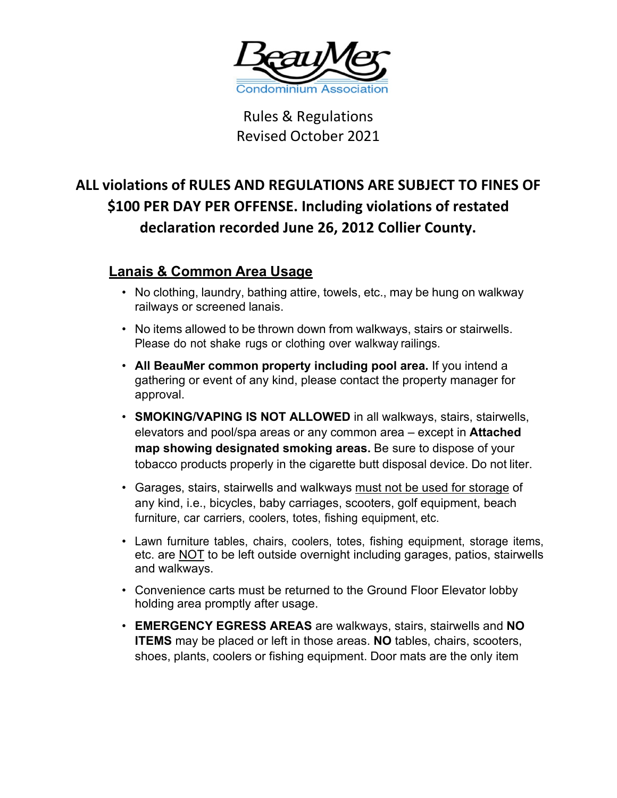

Rules & Regulations Revised October 2021

# **ALL violations of RULES AND REGULATIONS ARE SUBJECT TO FINES OF \$100 PER DAY PER OFFENSE. Including violations of restated declaration recorded June 26, 2012 Collier County.**

# **Lanais & Common Area Usage**

- No clothing, laundry, bathing attire, towels, etc., may be hung on walkway railways or screened lanais.
- No items allowed to be thrown down from walkways, stairs or stairwells. Please do not shake rugs or clothing over walkway railings.
- **All BeauMer common property including pool area.** If you intend a gathering or event of any kind, please contact the property manager for approval.
- **SMOKING/VAPING IS NOT ALLOWED** in all walkways, stairs, stairwells, elevators and pool/spa areas or any common area – except in **Attached map showing designated smoking areas.** Be sure to dispose of your tobacco products properly in the cigarette butt disposal device. Do not liter.
- Garages, stairs, stairwells and walkways must not be used for storage of any kind, i.e., bicycles, baby carriages, scooters, golf equipment, beach furniture, car carriers, coolers, totes, fishing equipment, etc.
- Lawn furniture tables, chairs, coolers, totes, fishing equipment, storage items, etc. are NOT to be left outside overnight including garages, patios, stairwells and walkways.
- Convenience carts must be returned to the Ground Floor Elevator lobby holding area promptly after usage.
- **EMERGENCY EGRESS AREAS** are walkways, stairs, stairwells and **NO ITEMS** may be placed or left in those areas. **NO** tables, chairs, scooters, shoes, plants, coolers or fishing equipment. Door mats are the only item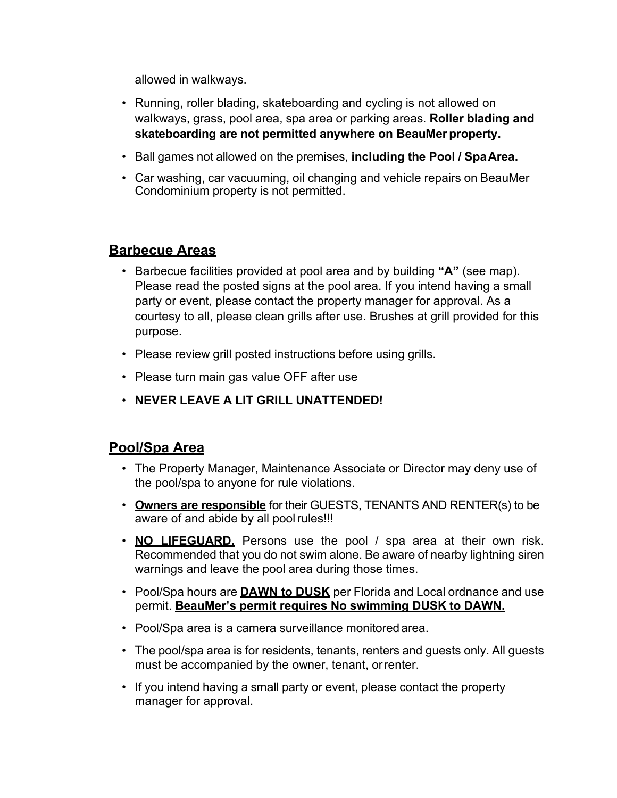allowed in walkways.

- Running, roller blading, skateboarding and cycling is not allowed on walkways, grass, pool area, spa area or parking areas. **Roller blading and skateboarding are not permitted anywhere on BeauMer property.**
- Ball games not allowed on the premises, **including the Pool / SpaArea.**
- Car washing, car vacuuming, oil changing and vehicle repairs on BeauMer Condominium property is not permitted.

# **Barbecue Areas**

- Barbecue facilities provided at pool area and by building **"A"** (see map). Please read the posted signs at the pool area. If you intend having a small party or event, please contact the property manager for approval. As a courtesy to all, please clean grills after use. Brushes at grill provided for this purpose.
- Please review grill posted instructions before using grills.
- Please turn main gas value OFF after use
- **NEVER LEAVE A LIT GRILL UNATTENDED!**

# **Pool/Spa Area**

- The Property Manager, Maintenance Associate or Director may deny use of the pool/spa to anyone for rule violations.
- **Owners are responsible** for their GUESTS, TENANTS AND RENTER(s) to be aware of and abide by all poolrules!!!
- **NO LIFEGUARD.** Persons use the pool / spa area at their own risk. Recommended that you do not swim alone. Be aware of nearby lightning siren warnings and leave the pool area during those times.
- Pool/Spa hours are **DAWN to DUSK** per Florida and Local ordnance and use permit. **BeauMer's permit requires No swimming DUSK to DAWN.**
- Pool/Spa area is a camera surveillance monitoredarea.
- The pool/spa area is for residents, tenants, renters and guests only. All guests must be accompanied by the owner, tenant, orrenter.
- If you intend having a small party or event, please contact the property manager for approval.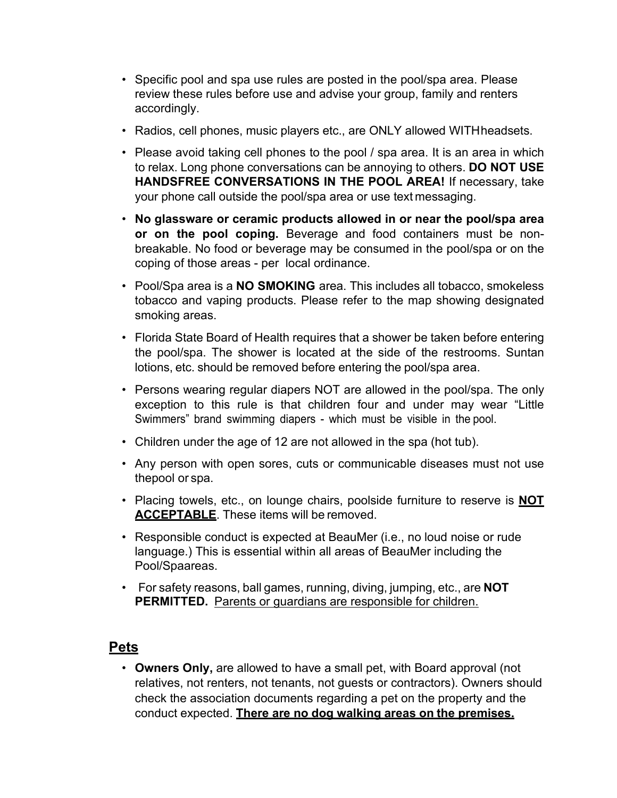- Specific pool and spa use rules are posted in the pool/spa area. Please review these rules before use and advise your group, family and renters accordingly.
- Radios, cell phones, music players etc., are ONLY allowed WITHheadsets.
- Please avoid taking cell phones to the pool / spa area. It is an area in which to relax. Long phone conversations can be annoying to others. **DO NOT USE HANDSFREE CONVERSATIONS IN THE POOL AREA!** If necessary, take your phone call outside the pool/spa area or use text messaging.
- **No glassware or ceramic products allowed in or near the pool/spa area or on the pool coping.** Beverage and food containers must be nonbreakable. No food or beverage may be consumed in the pool/spa or on the coping of those areas - per local ordinance.
- Pool/Spa area is a **NO SMOKING** area. This includes all tobacco, smokeless tobacco and vaping products. Please refer to the map showing designated smoking areas.
- Florida State Board of Health requires that a shower be taken before entering the pool/spa. The shower is located at the side of the restrooms. Suntan lotions, etc. should be removed before entering the pool/spa area.
- Persons wearing regular diapers NOT are allowed in the pool/spa. The only exception to this rule is that children four and under may wear "Little Swimmers" brand swimming diapers - which must be visible in the pool.
- Children under the age of 12 are not allowed in the spa (hot tub).
- Any person with open sores, cuts or communicable diseases must not use thepool or spa.
- Placing towels, etc., on lounge chairs, poolside furniture to reserve is **NOT ACCEPTABLE**. These items will be removed.
- Responsible conduct is expected at BeauMer (i.e., no loud noise or rude language.) This is essential within all areas of BeauMer including the Pool/Spaareas.
- For safety reasons, ball games, running, diving, jumping, etc., are **NOT PERMITTED.** Parents or guardians are responsible for children.

# **Pets**

• **Owners Only,** are allowed to have a small pet, with Board approval (not relatives, not renters, not tenants, not guests or contractors). Owners should check the association documents regarding a pet on the property and the conduct expected. **There are no dog walking areas on the premises.**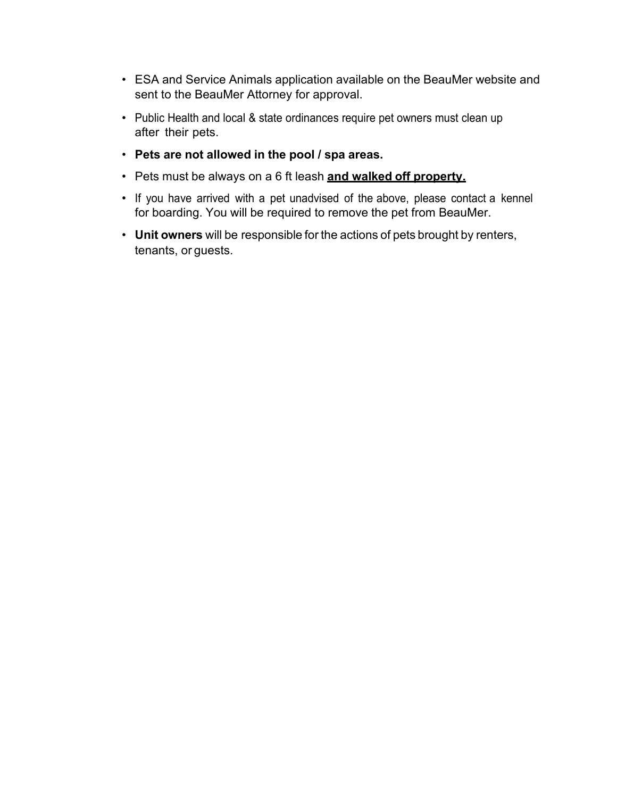- ESA and Service Animals application available on the BeauMer website and sent to the BeauMer Attorney for approval.
- Public Health and local & state ordinances require pet owners must clean up after their pets.
- **Pets are not allowed in the pool / spa areas.**
- Pets must be always on a 6 ft leash **and walked off property.**
- If you have arrived with a pet unadvised of the above, please contact a kennel for boarding. You will be required to remove the pet from BeauMer.
- **Unit owners** will be responsible for the actions of pets brought by renters, tenants, or guests.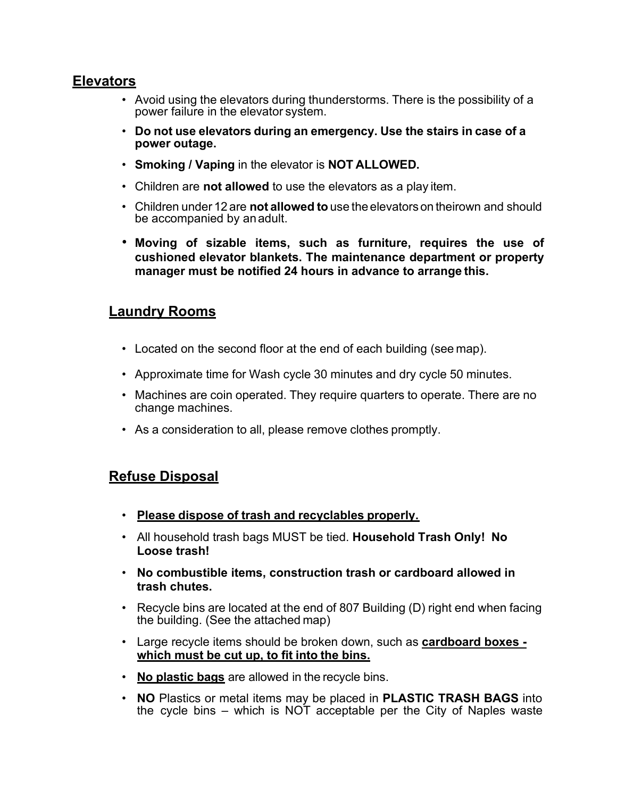#### **Elevators**

- Avoid using the elevators during thunderstorms. There is the possibility of a power failure in the elevator system.
- **Do not use elevators during an emergency. Use the stairs in case of a power outage.**
- **Smoking / Vaping** in the elevator is **NOT ALLOWED.**
- Children are **not allowed** to use the elevators as a play item.
- Children under 12 are **not allowed to** use the elevators on theirown and should be accompanied by anadult.
- **Moving of sizable items, such as furniture, requires the use of cushioned elevator blankets. The maintenance department or property manager must be notified 24 hours in advance to arrange this.**

# **Laundry Rooms**

- Located on the second floor at the end of each building (see map).
- Approximate time for Wash cycle 30 minutes and dry cycle 50 minutes.
- Machines are coin operated. They require quarters to operate. There are no change machines.
- As a consideration to all, please remove clothes promptly.

# **Refuse Disposal**

- **Please dispose of trash and recyclables properly.**
- All household trash bags MUST be tied. **Household Trash Only! No Loose trash!**
- **No combustible items, construction trash or cardboard allowed in trash chutes.**
- Recycle bins are located at the end of 807 Building (D) right end when facing the building. (See the attached map)
- Large recycle items should be broken down, such as **cardboard boxes which must be cut up, to fit into the bins.**
- **No plastic bags** are allowed in the recycle bins.
- **NO** Plastics or metal items may be placed in **PLASTIC TRASH BAGS** into the cycle bins – which is NOT acceptable per the City of Naples waste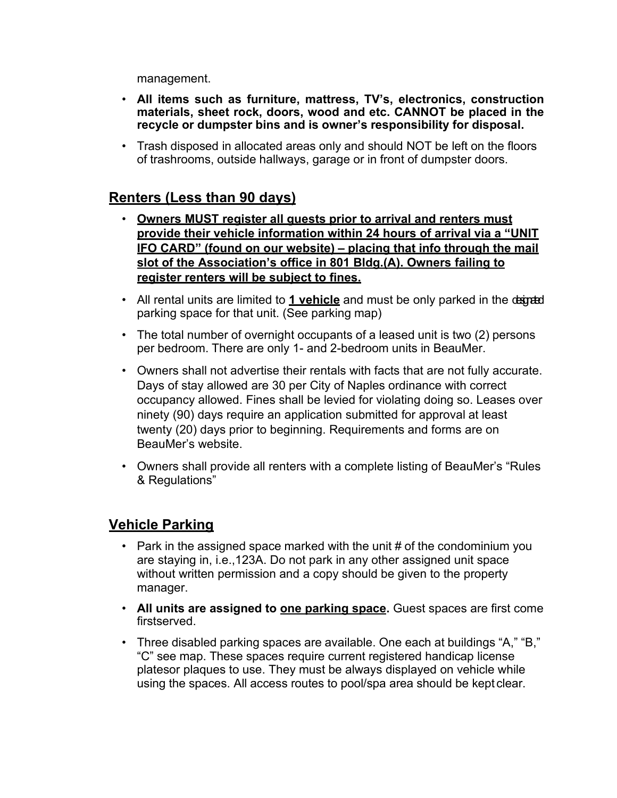management.

- **All items such as furniture, mattress, TV's, electronics, construction materials, sheet rock, doors, wood and etc. CANNOT be placed in the recycle or dumpster bins and is owner's responsibility for disposal.**
- Trash disposed in allocated areas only and should NOT be left on the floors of trashrooms, outside hallways, garage or in front of dumpster doors.

# **Renters (Less than 90 days)**

- **Owners MUST register all guests prior to arrival and renters must provide their vehicle information within 24 hours of arrival via a "UNIT IFO CARD" (found on our website) – placing that info through the mail slot of the Association's office in 801 Bldg.(A). Owners failing to register renters will be subject to fines.**
- All rental units are limited to **1 vehicle** and must be only parked in the degretal parking space for that unit. (See parking map)
- The total number of overnight occupants of a leased unit is two (2) persons per bedroom. There are only 1- and 2-bedroom units in BeauMer.
- Owners shall not advertise their rentals with facts that are not fully accurate. Days of stay allowed are 30 per City of Naples ordinance with correct occupancy allowed. Fines shall be levied for violating doing so. Leases over ninety (90) days require an application submitted for approval at least twenty (20) days prior to beginning. Requirements and forms are on BeauMer's website.
- Owners shall provide all renters with a complete listing of BeauMer's "Rules & Regulations"

# **Vehicle Parking**

- Park in the assigned space marked with the unit  $\#$  of the condominium you are staying in, i.e.,123A. Do not park in any other assigned unit space without written permission and a copy should be given to the property manager.
- **All units are assigned to one parking space.** Guest spaces are first come firstserved.
- Three disabled parking spaces are available. One each at buildings "A," "B," "C" see map. These spaces require current registered handicap license platesor plaques to use. They must be always displayed on vehicle while using the spaces. All access routes to pool/spa area should be kept clear.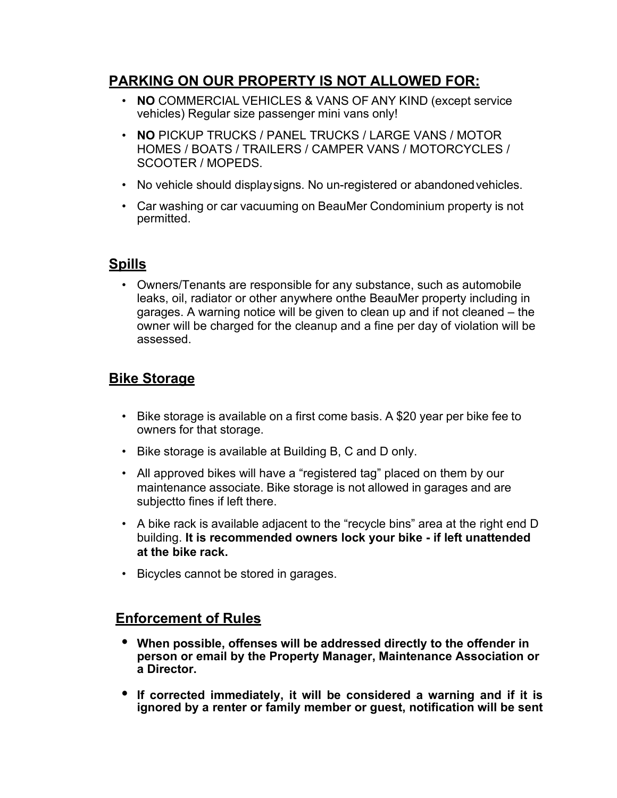# **PARKING ON OUR PROPERTY IS NOT ALLOWED FOR:**

- **NO** COMMERCIAL VEHICLES & VANS OF ANY KIND (except service vehicles) Regular size passenger mini vans only!
- **NO** PICKUP TRUCKS / PANEL TRUCKS / LARGE VANS / MOTOR HOMES / BOATS / TRAILERS / CAMPER VANS / MOTORCYCLES / SCOOTER / MOPEDS.
- No vehicle should displaysigns. No un-registered or abandoned vehicles.
- Car washing or car vacuuming on BeauMer Condominium property is not permitted.

#### **Spills**

• Owners/Tenants are responsible for any substance, such as automobile leaks, oil, radiator or other anywhere onthe BeauMer property including in garages. A warning notice will be given to clean up and if not cleaned – the owner will be charged for the cleanup and a fine per day of violation will be assessed.

# **Bike Storage**

- Bike storage is available on a first come basis. A \$20 year per bike fee to owners for that storage.
- Bike storage is available at Building B, C and D only.
- All approved bikes will have a "registered tag" placed on them by our maintenance associate. Bike storage is not allowed in garages and are subjectto fines if left there.
- A bike rack is available adjacent to the "recycle bins" area at the right end D building. **It is recommended owners lock your bike - if left unattended at the bike rack.**
- Bicycles cannot be stored in garages.

# **Enforcement of Rules**

- **• When possible, offenses will be addressed directly to the offender in person or email by the Property Manager, Maintenance Association or a Director.**
- **• If corrected immediately, it will be considered a warning and if it is ignored by a renter or family member or guest, notification will be sent**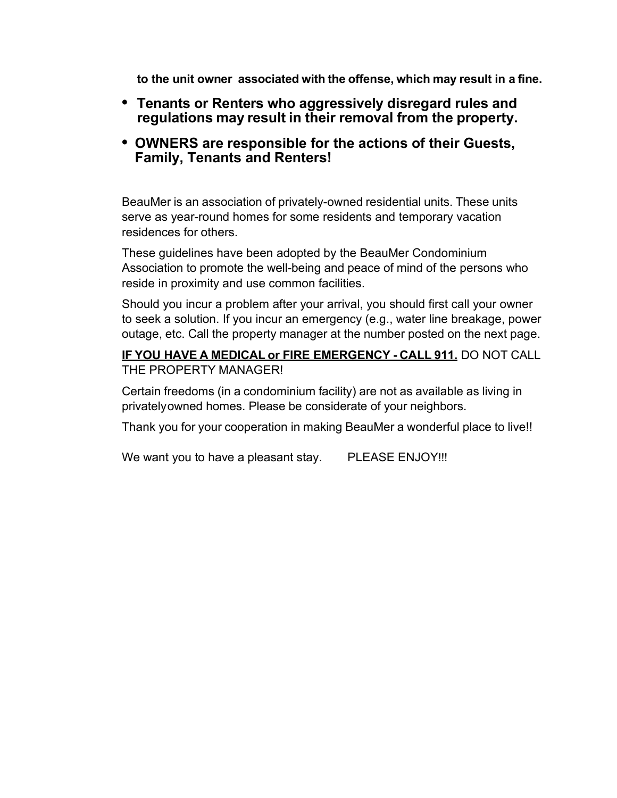**to the unit owner associated with the offense, which may result in a fine.**

- **• Tenants or Renters who aggressively disregard rules and regulations may result in their removal from the property.**
- **• OWNERS are responsible for the actions of their Guests, Family, Tenants and Renters!**

BeauMer is an association of privately-owned residential units. These units serve as year-round homes for some residents and temporary vacation residences for others.

These guidelines have been adopted by the BeauMer Condominium Association to promote the well-being and peace of mind of the persons who reside in proximity and use common facilities.

Should you incur a problem after your arrival, you should first call your owner to seek a solution. If you incur an emergency (e.g., water line breakage, power outage, etc. Call the property manager at the number posted on the next page.

#### **IF YOU HAVE A MEDICAL or FIRE EMERGENCY - CALL 911.** DO NOT CALL THE PROPERTY MANAGER!

Certain freedoms (in a condominium facility) are not as available as living in privatelyowned homes. Please be considerate of your neighbors.

Thank you for your cooperation in making BeauMer a wonderful place to live!!

We want you to have a pleasant stay. PLEASE ENJOY!!!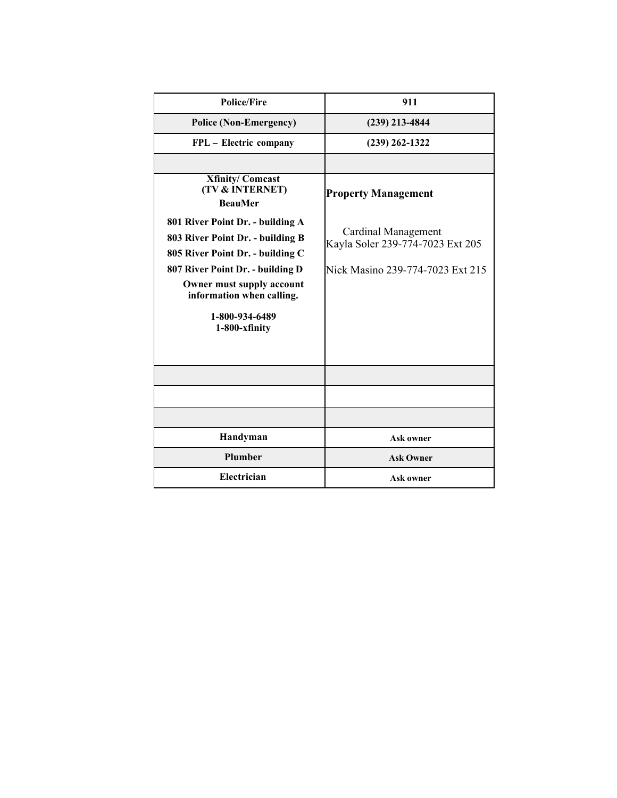| <b>Police/Fire</b>                                                                                                                                                                                                                        | 911                                                                                         |
|-------------------------------------------------------------------------------------------------------------------------------------------------------------------------------------------------------------------------------------------|---------------------------------------------------------------------------------------------|
| <b>Police (Non-Emergency)</b>                                                                                                                                                                                                             | $(239)$ 213-4844                                                                            |
| FPL - Electric company                                                                                                                                                                                                                    | $(239)$ 262-1322                                                                            |
|                                                                                                                                                                                                                                           |                                                                                             |
| <b>Xfinity/Comcast</b><br>(TV & INTERNET)<br><b>BeauMer</b>                                                                                                                                                                               | <b>Property Management</b>                                                                  |
| 801 River Point Dr. - building A<br>803 River Point Dr. - building B<br>805 River Point Dr. - building C<br>807 River Point Dr. - building D<br>Owner must supply account<br>information when calling.<br>1-800-934-6489<br>1-800-xfinity | Cardinal Management<br>Kayla Soler 239-774-7023 Ext 205<br>Nick Masino 239-774-7023 Ext 215 |
|                                                                                                                                                                                                                                           |                                                                                             |
|                                                                                                                                                                                                                                           |                                                                                             |
|                                                                                                                                                                                                                                           |                                                                                             |
| Handyman                                                                                                                                                                                                                                  | <b>Ask owner</b>                                                                            |
| Plumber                                                                                                                                                                                                                                   | <b>Ask Owner</b>                                                                            |
| Electrician                                                                                                                                                                                                                               | Ask owner                                                                                   |